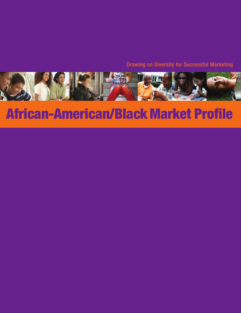Drawing on Diversity for Successful Marketing



# **African-American/Black Market Profile**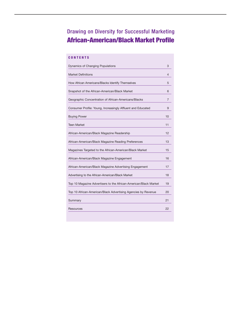# Drawing on Diversity for Successful Marketing **African-American/Black Market Profile**

## **CONTENTS**

| Dynamics of Changing Populations                                 | 3  |
|------------------------------------------------------------------|----|
| <b>Market Definitions</b>                                        | 4  |
| How African Americans/Blacks Identify Themselves                 | 5  |
| Snapshot of the African-American/Black Market                    | 6  |
| Geographic Concentration of African-Americans/Blacks             | 7  |
| Consumer Profile: Young, Increasingly Affluent and Educated      | 9  |
| <b>Buying Power</b>                                              | 10 |
| <b>Teen Market</b>                                               | 11 |
| African-American/Black Magazine Readership                       | 12 |
| African-American/Black Magazine Reading Preferences              | 13 |
| Magazines Targeted to the African-American/Black Market          | 15 |
| African-American/Black Magazine Engagement                       | 16 |
| African-American/Black Magazine Advertising Engagement           | 17 |
| Advertising to the African-American/Black Market                 | 18 |
| Top 10 Magazine Advertisers to the African-American/Black Market | 19 |
| Top 10 African-American/Black Advertising Agencies by Revenue    | 20 |
| Summary                                                          | 21 |
| Resources                                                        | 22 |
|                                                                  |    |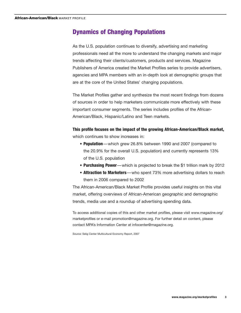## **Dynamics of Changing Populations**

As the U.S. population continues to diversify, advertising and marketing professionals need all the more to understand the changing markets and major trends affecting their clients/customers, products and services. Magazine Publishers of America created the Market Profiles series to provide advertisers, agencies and MPA members with an in-depth look at demographic groups that are at the core of the United States' changing populations.

The Market Profiles gather and synthesize the most recent findings from dozens of sources in order to help marketers communicate more effectively with these important consumer segments. The series includes profiles of the African-American/Black, Hispanic/Latino and Teen markets.

## **This profile focuses on the impact of the growing African-American/Black market,** which continues to show increases in:

- **Population**—which grew 26.8% between 1990 and 2007 (compared to the 20.9% for the overall U.S. population) and currently represents 13% of the U.S. population
- **Purchasing Power**—which is projected to break the \$1 trillion mark by 2012
- **Attraction to Marketers**—who spent 73% more advertising dollars to reach them in 2006 compared to 2002

The African-American/Black Market Profile provides useful insights on this vital market, offering overviews of African-American geographic and demographic trends, media use and a roundup of advertising spending data.

To access additional copies of this and other market profiles, please visit www.magazine.org/ marketprofiles or e-mail promotion@magazine.org. For further detail on content, please contact MPA's Information Center at infocenter@magazine.org.

Source: Selig Center Multicultural Economy Report, 2007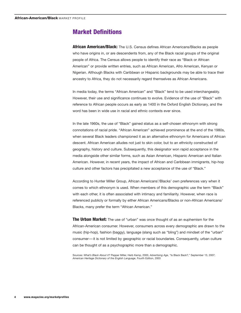## **Market Definitions**

**African American/Black:** The U.S. Census defines African Americans/Blacks as people who have origins in, or are descendents from, any of the Black racial groups of the original people of Africa. The Census allows people to identify their race as "Black or African American" or provide written entries, such as African American, Afro American, Kenyan or Nigerian. Although Blacks with Caribbean or Hispanic backgrounds may be able to trace their ancestry to Africa, they do not necessarily regard themselves as African Americans.

In media today, the terms "African American" and "Black" tend to be used interchangeably. However, their use and significance continues to evolve. Evidence of the use of "Black" with reference to African people occurs as early as 1400 in the Oxford English Dictionary, and the word has been in wide use in racial and ethnic contexts ever since.

In the late 1960s, the use of "Black" gained status as a self-chosen ethnonym with strong connotations of racial pride. "African American" achieved prominence at the end of the 1980s, when several Black leaders championed it as an alternative ethnonym for Americans of African descent. African American alludes not just to skin color, but to an ethnicity constructed of geography, history and culture. Subsequently, this designator won rapid acceptance in the media alongside other similar forms, such as Asian American, Hispanic American and Italian American. However, in recent years, the impact of African and Caribbean immigrants, hip-hop culture and other factors has precipitated a new acceptance of the use of "Black."

According to Hunter Miller Group, African Americans'/Blacks' own preferences vary when it comes to which ethnonym is used. When members of this demographic use the term "Black" with each other, it is often associated with intimacy and familiarity. However, when race is referenced publicly or formally by either African Americans/Blacks or non-African Americans/ Blacks, many prefer the term "African American."

**The Urban Market:** The use of "urban" was once thought of as an euphemism for the African-American consumer. However, consumers across every demographic are drawn to the music (hip-hop), fashion (baggy), language (slang such as "bling") and mindset of the "urban" consumer—it is not limited by geographic or racial boundaries. Consequently, urban culture can be thought of as a psychographic more than a demographic.

Sources: *What's Black About it?* Pepper Miller, Herb Kemp, 2005; *Advertising Age*, "Is Black Back?," September 13, 2007; *American Heritage Dictionary of the English Language*, Fourth Edition, 2003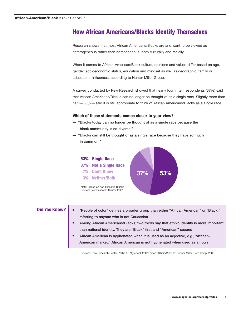## **How African Americans/Blacks Identify Themselves**

Research shows that most African Americans/Blacks are and want to be viewed as heterogeneous rather than homogeneous, both culturally and racially.

When it comes to African-American/Black culture, opinions and values differ based on age, gender, socioeconomic status, education and mindset as well as geographic, family or educational influences, according to Hunter Miller Group.

A survey conducted by Pew Research showed that nearly four in ten respondents (37%) said that African Americans/Blacks can no longer be thought of as a single race. Slightly more than half  $-53%$  -said it is still appropriate to think of African Americans/Blacks as a single race.

#### **Which of these statements comes closer to your view?**

- "Blacks today can no longer be thought of as a single race because the black community is so diverse."
- "Blacks can still be thought of as a single race because they have so much in common."



- **Did You Know?** "People of color" defines a broader group than either "African American" or "Black," referring to anyone who is not Caucasian
	- **•** Among African Americans/Blacks, two thirds say that ethnic identity is more important than national identity. They are "Black" first and "American" second
	- **•** African American is hyphenated when it is used as an adjective, e.g., "African-American market." African American is not hyphenated when used as a noun

Sources: Pew Research Center, 2007; *AP Stylebook* 2007; *What's Black About it?* Pepper Miller, Herb Kemp, 2005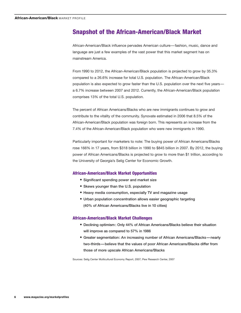## **Snapshot of the African-American/Black Market**

African-American/Black influence pervades American culture—fashion, music, dance and language are just a few examples of the vast power that this market segment has on mainstream America.

From 1990 to 2012, the African-American/Black population is projected to grow by 35.3% compared to a 26.6% increase for total U.S. population. The African-American/Black population is also expected to grow faster than the U.S. population over the next five years a 6.7% increase between 2007 and 2012. Currently, the African-American/Black population comprises 13% of the total U.S. population.

The percent of African Americans/Blacks who are new immigrants continues to grow and contribute to the vitality of the community. Synovate estimated in 2006 that 8.5% of the African-American/Black population was foreign born. This represents an increase from the 7.4% of the African-American/Black population who were new immigrants in 1990.

Particularly important for marketers to note: The buying power of African Americans/Blacks rose 166% in 17 years, from \$318 billion in 1990 to \$845 billion in 2007. By 2012, the buying power of African Americans/Blacks is projected to grow to more than \$1 trillion, according to the University of Georgia's Selig Center for Economic Growth.

#### **African-American/Black Market Opportunities**

- Significant spending power and market size
- Skews younger than the U.S. population
- Heavy media consumption, especially TV and magazine usage
- Urban population concentration allows easier geographic targeting (40% of African Americans/Blacks live in 10 cities)

#### **African-American/Black Market Challenges**

- Declining optimism : Only 44% of African Americans/Blacks believe their situation will improve as compared to 57% in 1986
- Greater segmentation: An increasing number of African Americans/Blacks—nearly two-thirds—believe that the values of poor African Americans/Blacks differ from those of more upscale African Americans/Blacks

Sources: Selig Center Multicultural Economy Report, 2007; Pew Research Center, 2007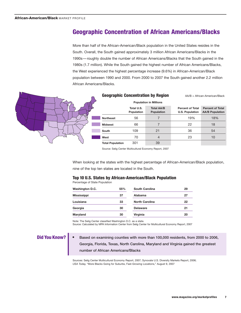## **Geographic Concentration of African Americans/Blacks**

More than half of the African-American/Black population in the United States resides in the South. Overall, the South gained approximately 3 million African Americans/Blacks in the 1990s— roughly double the number of African Americans/Blacks that the South gained in the 1980s (1.7 million). While the South gained the highest number of African Americans/Blacks, the West experienced the highest percentage increase (9.6%) in African-American/Black population between 1990 and 2000. From 2000 to 2007 the South gained another 2.2 million African Americans/Blacks.



#### **Geographic Concentration by Region** AA/B = African-American/Black

|                         | <b>Population in Millions</b> |                                 |                                                   |                                                   |
|-------------------------|-------------------------------|---------------------------------|---------------------------------------------------|---------------------------------------------------|
|                         | Total U.S.<br>Population      | <b>Total AA/B</b><br>Population | <b>Percent of Total</b><br><b>U.S. Population</b> | <b>Percent of Total</b><br><b>AA/B Population</b> |
| <b>Northeast</b>        | 56                            |                                 | 19%                                               | 18%                                               |
| <b>Midwest</b>          | 66                            |                                 | 22                                                | 18                                                |
| South                   | 109                           | 21                              | 36                                                | 54                                                |
| West                    | 70                            |                                 | 23                                                | 10                                                |
| <b>Total Population</b> | 301                           | 39                              |                                                   |                                                   |

Source: Selig Center Multicultural Economy Report, 2007

When looking at the states with the highest percentage of African-American/Black population, nine of the top ten states are located in the South.

#### **Top 10 U.S. States by African-American/Black Population**

Percentage of State Population

| <b>Washington D.C.</b> | 55% | <b>South Carolina</b> | 29 |
|------------------------|-----|-----------------------|----|
| <b>Mississippi</b>     | 37  | Alabama               | 27 |
| Louisiana              | 33  | <b>North Carolina</b> | 22 |
| Georgia                | 30  | <b>Delaware</b>       | 21 |
| Maryland               | 30  | <b>Virginia</b>       | 20 |
|                        |     |                       |    |

Note: The Selig Center classified Washington D.C. as a state.

Source: Calculated by MPA Information Center from Selig Center for Multicultural Economy Report, 2007

**Did You Know?** • Based on examining counties with more than 100,000 residents, from 2000 to 2006, Georgia, Florida, Texas, North Carolina, Maryland and Virginia gained the greatest number of African Americans/Blacks

> Sources: Selig Center Multicultural Economy Report, 2007; Synovate U.S. Diversity Markets Report, 2006; *USA Today,* "More Blacks Going for Suburbs, Fast-Growing Locations," August 9, 2007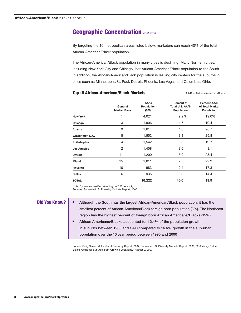## **Geographic Concentration** *continued*

By targeting the 10 metropolitan areas listed below, marketers can reach 40% of the total African-American/Black population.

The African-American/Black population in many cities is declining. Many Northern cities, including New York City and Chicago, lost African-American/Black population to the South. In addition, the African-American/Black population is leaving city centers for the suburbs in cities such as Minneapolis/St. Paul, Detroit, Phoenix, Las Vegas and Columbus, Ohio.

#### **Top 10 African-American/Black Markets AA/B = African-American/Black Markets A**

|                    | General<br><b>Market Rank</b> | AA/B<br>Population<br>(000) | Percent of<br>Total U.S. AA/B<br>Population | <b>Percent AA/B</b><br>of Total Market<br>Population |
|--------------------|-------------------------------|-----------------------------|---------------------------------------------|------------------------------------------------------|
| <b>New York</b>    | 1                             | 4,021                       | 9.9%                                        | 19.0%                                                |
| Chicago            | 3                             | 1,906                       | 4.7                                         | 19.4                                                 |
| Atlanta            | 9                             | 1,614                       | 4.0                                         | 28.7                                                 |
| Washington D.C.    | 8                             | 1,552                       | 3.8                                         | 25.8                                                 |
| Philadelphia       | 4                             | 1,542                       | 3.8                                         | 19.7                                                 |
| <b>Los Angeles</b> | 2                             | 1,458                       | 3.6                                         | 8.1                                                  |
| <b>Detroit</b>     | 11                            | 1,200                       | 3.0                                         | 23.4                                                 |
| Miami              | 15                            | 1,011                       | 2.5                                         | 22.9                                                 |
| <b>Houston</b>     | 10                            | 983                         | 2.4                                         | 17.3                                                 |
| <b>Dallas</b>      | 6                             | 935                         | 2.3                                         | 14.4                                                 |
| <b>TOTAL</b>       |                               | 16,222                      | 40.0                                        | 19.9                                                 |

Note: Synovate classified Washington D.C. as a city. Sources: Synovate U.S. Diversity Markets Report, 2006

**Did You Know? •** Although the South has the largest African-American/Black population, it has the smallest percent of African-American/Black foreign born population (3%). The Northeast region has the highest percent of foreign born African Americans/Blacks (15%)

> **•** African Americans/Blacks accounted for 12.4% of the population growth in suburbs between 1980 and 1990 compared to 16.6% growth in the suburban population over the 10 year period between 1990 and 2000

Source: Selig Center Multicultural Economy Report, 2007; Synovate U.S. Diversity Markets Report, 2006; *USA Today*, "More Blacks Going for Suburbs, Fast-Growing Locations," August 9, 2007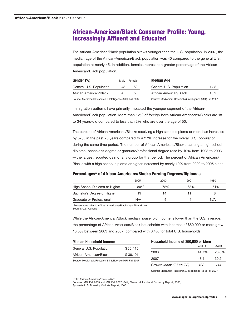## **African-American/Black Consumer Profile: Young, Increasingly Affluent and Educated**

The African-American/Black population skews younger than the U.S. population. In 2007, the median age of the African-American/Black population was 40 compared to the general U.S. population at nearly 45. In addition, females represent a greater percentage of the African-American/Black population.

|    | Male Female |
|----|-------------|
| 48 | 52          |
| 45 | 55          |
|    |             |

| <b>Median Age</b>       |      |
|-------------------------|------|
| General U.S. Population | 44.8 |
| African American/Black  | 40 2 |
|                         |      |

Source: Mediamark Research & Intelligence (MRI) Fall 2007

Source: Mediamark Research & Intelligence (MRI) Fall 2007

Immigration patterns have primarily impacted the younger segment of the African-American/Black population. More than 12% of foreign-born African Americans/Blacks are 18 to 34 years-old compared to less than 2% who are over the age of 50.

The percent of African Americans/Blacks receiving a high school diploma or more has increased by 57% in the past 25 years compared to a 27% increase for the overall U.S. population during the same time period. The number of African Americans/Blacks earning a high school diploma, bachelor's degree or graduate/professional degree rose by 10% from 1993 to 2003 —the largest reported gain of any group for that period. The percent of African Americans/ Blacks with a high school diploma or higher increased by nearly 10% from 2000 to 2005 alone.

#### **Percentages\* of African Americans/Blacks Earning Degrees/Diplomas**

|                               | $2005*$ | 2000 | 1990 | 1980 |
|-------------------------------|---------|------|------|------|
| High School Diploma or Higher | 80%     | 72%  | 63%  | 51%  |
| Bachelor's Degree or Higher   | 19      | 14   |      |      |
| Graduate or Professional      | N/A     |      |      | N/A  |

\*Percentages refer to African Americans/Blacks age 25 and over. Source: U.S. Census

While the African-American/Black median household income is lower than the U.S. average, the percentage of African-American/Black households with incomes of \$50,000 or more grew 13.5% between 2003 and 2007, compared with 8.4% for total U.S. households.

| <b>Median Household Income</b>                            |          |  |
|-----------------------------------------------------------|----------|--|
| General U.S. Population                                   | \$55,415 |  |
| African-American/Black                                    | \$36.191 |  |
| Source: Mediamark Research & Intelligence (MRI) Fall 2007 |          |  |

| Household Income of \$50,000 or More |            |       |  |
|--------------------------------------|------------|-------|--|
|                                      | Total U.S. | AA/B  |  |
| 2003                                 | 44.7%      | 26.6% |  |
| 2007                                 | 48.4       | 30.2  |  |
| Growth Index ('07 vs.'03)            | 108        | 114   |  |
|                                      |            |       |  |

Source: Mediamark Research & Intelligence (MRI) Fall 2007

Note: African-American/Black=AA/B

Sources: MRI Fall 2003 and MRI Fall 2007; Selig Center Multicultural Economy Report, 2006; Synovate U.S. Diversity Markets Report, 2006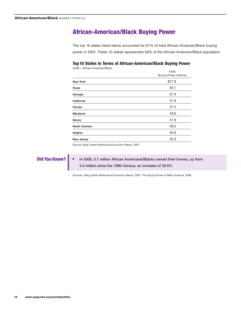## **African-American/Black Buying Power**

The top 10 states listed below accounted for 61% of total African-American/Black buying power in 2007. These 10 states represented 59% of the African-American/Black population.

#### **Top 10 States in Terms of African-American/Black Buying Power**

AA/B = African-American/Black

|                       | AA/B<br><b>Buying Power (billions)</b> |
|-----------------------|----------------------------------------|
| <b>New York</b>       | \$77.8                                 |
| <b>Texas</b>          | 63.1                                   |
| Georgia               | 57.9                                   |
| California            | 57.8                                   |
| <b>Florida</b>        | 57.4                                   |
| Maryland              | 49.6                                   |
| <b>Illinois</b>       | 41.8                                   |
| <b>North Carolina</b> | 38.5                                   |
| Virginia              | 35.6                                   |
| <b>New Jersey</b>     | 32.9                                   |

Source: Selig Center Multicultural Economy Report, 2007

**Did You Know? •** In 2006, 5.7 million African Americans/Blacks owned their homes, up from 4.3 million since the 1990 Census, an increase of 32.6%

Sources: Selig Center Multicultural Economy Report, 2007; *The Buying Power of Black America,* 2006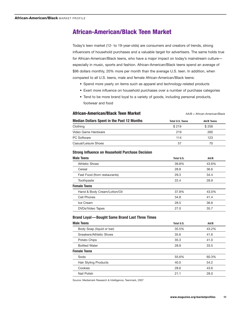## **African-American/Black Teen Market**

Today's teen market (12- to 19-year-olds) are consumers and creators of trends, strong influencers of household purchases and a valuable target for advertisers. The same holds true for African-American/Black teens, who have a major impact on today's mainstream culture especially in music, sports and fashion. African-American/Black teens spend an average of \$96 dollars monthly, 20% more per month than the average U.S. teen. In addition, when compared to all U.S. teens, male and female African-American/Black teens:

- Spend more yearly on items such as apparel and technology-related products
- Exert more influence on household purchases over a number of purchase categories
- Tend to be more brand loyal to a variety of goods, including personal products, footwear and food

| African-American/Black Teen Market                | $AA/B = African-American/Black$ |            |  |
|---------------------------------------------------|---------------------------------|------------|--|
| <b>Median Dollars Spent in the Past 12 Months</b> | <b>Total U.S. Teens</b>         | AA/B Teens |  |
| Clothing                                          | \$219                           | \$258      |  |
| Video Game Hardware                               | 219                             | 260        |  |
| <b>PC Software</b>                                | 114                             | 123        |  |
| Casual/Leisure Shoes                              | 57                              | 70         |  |

#### **Strong Influence on Household Purchase Decision**

| <b>Male Teens</b>            | Total U.S. | AA/B  |
|------------------------------|------------|-------|
| <b>Athletic Shoes</b>        | 39.8%      | 43.6% |
| Cereal                       | 28.8       | 36.6  |
| Fast Food (from restaurants) | 29.3       | 34.4  |
| Toothpaste                   | 22.4       | 28.9  |
| <b>Female Teens</b>          |            |       |
| Hand & Body Cream/Lotion/Oil | 37.8%      | 43.0% |
| Cell Phones                  | 34.8       | 41.4  |
| Ice Cream                    | 28.5       | 36.6  |
| DVDs/Video Tapes             | 27.0       | 35.7  |

#### **Brand Loyal—Bought Same Brand Last Three Times**

| <b>Male Teens</b>         | Total U.S. | AA/B  |
|---------------------------|------------|-------|
| Body Soap (liquid or bar) | 35.5%      | 43.2% |
| Sneakers/Athletic Shoes   | 35.6       | 41.6  |
| Potato Chips              | 35.3       | 41.0  |
| <b>Bottled Water</b>      | 28.9       | 33.5  |
| <b>Female Teens</b>       |            |       |
| Soda                      | 55.6%      | 60.3% |
| Hair Styling Products     | 40.0       | 54.2  |
| Cookies                   | 28.6       | 43.6  |
| Nail Polish               | 21.1       | 28.0  |

Source: Mediamark Research & Intelligence, Teenmark, 2007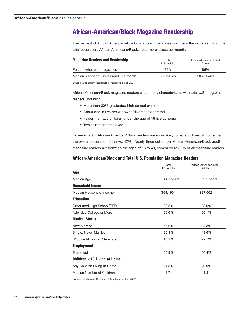## **African-American/Black Magazine Readership**

The percent of African Americans/Blacks who read magazines is virtually the same as that of the total population. African Americans/Blacks read more issues per month.

| <b>Magazine Readers and Readership</b>  | Total<br>U.S. Adults | African-American/Black<br>Adults |
|-----------------------------------------|----------------------|----------------------------------|
| Percent who read magazines              | 85%                  | 86%                              |
| Median number of issues read in a month | 7.5 issues           | 10.7 issues                      |
|                                         |                      |                                  |

Source: Mediamark Research & Intelligence, Fall 2007

African-American/Black magazine readers share many characteristics with total U.S. magazine readers, including:

- More than 80% graduated high school or more
- About one in five are widowed/divorced/separated
- Fewer than two children under the age of 18 live at home
- Two-thirds are employed

However, adult African-American/Black readers are more likely to have children at home than the overall population (50% vs. 42%). Nearly three out of four African-American/Black adult magazine readers are between the ages of 18 to 49, compared to 62% of all magazine readers.

#### **African-American/Black and Total U.S. Population Magazine Readers**

|                                       | Total<br>U.S. Adults | African-American/Black<br>Adults |
|---------------------------------------|----------------------|----------------------------------|
| Age                                   |                      |                                  |
| Median Age                            | 44.1 years           | 39.5 years                       |
| <b>Household Income</b>               |                      |                                  |
| Median Household Income               | \$59,190             | \$37,662                         |
| <b>Education</b>                      |                      |                                  |
| Graduated High School/GED             | 30.8%                | 33.9%                            |
| Attended College or More              | 56.6%                | 50.1%                            |
| <b>Marital Status</b>                 |                      |                                  |
| Now Married                           | 56.6%                | 34.3%                            |
| Single, Never Married                 | 25.3%                | 43.6%                            |
| Widowed/Divorced/Separated            | 18.1%                | 22.1%                            |
| <b>Employment</b>                     |                      |                                  |
| Employed                              | 66.9%                | 66.4%                            |
| <b>Children &lt;18 Living at Home</b> |                      |                                  |
| Any Children Living at Home           | 41.5%                | 49.9%                            |
| Median Number of Children             | 1.7                  | 1.8                              |

Source: Mediamark Research & Intelligence, Fall 2007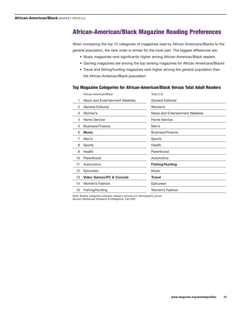## **African-American/Black Magazine Reading Preferences**

When comparing the top 15 categories of magazines read by African Americans/Blacks to the general population, the rank order is similar for the most part. The biggest differences are:

- Music magazines rank significantly higher among African-American/Black readers
- Gaming magazines are among the top ranking magazines for African Americans/Blacks
- Travel and fishing/hunting magazines rank higher among the general population than the African-American/Black population

#### **Top Magazine Categories for African-American/Black Versus Total Adult Readers**

|                | African-American/Black              | Total U.S.                      |
|----------------|-------------------------------------|---------------------------------|
| 1              | News and Entertainment Weeklies     | General Editorial               |
| $\overline{2}$ | <b>General Editorial</b>            | Women's                         |
| 3              | Women's                             | News and Entertainment Weeklies |
| 4              | Home Service                        | Home Service                    |
| 5              | Business/Finance                    | Men's                           |
| 6              | <b>Music</b>                        | Business/Finance                |
| 7              | Men's                               | Sports                          |
| 8              | Sports                              | Health                          |
| 9              | Health                              | Parenthood                      |
| 10             | Parenthood                          | Automotive                      |
| 11             | Automotive                          | <b>Fishing/Hunting</b>          |
| 12             | Epicurean                           | Music                           |
| 13             | <b>Video Games/PC &amp; Console</b> | <b>Travel</b>                   |
| 14             | Women's Fashion                     | Epicurean                       |
| 15             | Fishing/Hunting                     | Women's Fashion                 |
|                |                                     |                                 |

Note: Bolded categories indicates category exclusive to demographic group. Source: Mediamark Research & Intelligence, Fall 2007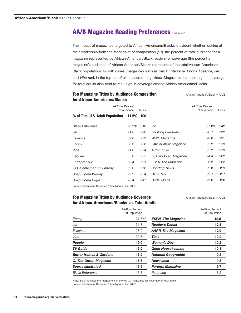## **AA/B Magazine Reading Preferences** *continued*

The impact of magazines targeted to African-Americans/Blacks is evident whether looking at their readership from the standpoint of composition (e.g. the percent of total audience for a magazine represented by African-American/Black readers) or coverage (the percent a magazine's audience of African American/Blacks represents of the total African-American/ Black population). In both cases, magazines such as *Black Enterprise, Ebony, Essence, Jet* and *Vibe* rank in the top ten of all measured magazines. Magazines that rank high in coverage for total adults also tend to rank high in coverage among African Americans/Blacks.

## **Top Magazine Titles by Audience Composition African-American/Black = AA/B for African Americans/Blacks**

| טוושט שווע וטוווא וואטוווא וטו   |             |       |                               |                                |       |
|----------------------------------|-------------|-------|-------------------------------|--------------------------------|-------|
| AA/B as Percent                  | of Audience | Index |                               | AA/B as Percent<br>of Audience | Index |
| % of Total U.S. Adult Population | 11.5% 100   |       |                               |                                |       |
| <b>Black Enterprise</b>          | 93.2%       | 810   | Inc.                          | 27.8%                          | 242   |
| Jet                              | 91.6        | 796   | <b>Cooking Pleasures</b>      | 26.7                           | 232   |
| Essence                          | 89.0        | 773   | <b>WWE Magazine</b>           | 26.6                           | 231   |
| Ebony                            | 88.3        | 768   | <b>Official Xbox Magazine</b> | 25.2                           | 219   |
| Vibe                             | 71.8        | 624   | Automobile                    | 25.2                           | 219   |
| Esquire                          | 35.0        | 305   | O, The Oprah Magazine         | 24.4                           | 202   |
| Entrepreneur                     | 33.4        | 291   | <b>ESPN The Magazine</b>      | 23.2                           | 202   |
| GQ-Gentleman's Quarterly         | 32.0        | 278   | <b>Sporting News</b>          | 22.8                           | 199   |
| Soap Opera Weekly                | 29.2        | 254   | <b>Baby Talk</b>              | 22.7                           | 197   |
| Soap Opera Digest                | 28.4        | 247   | <b>Bridal Guide</b>           | 22.6                           | 196   |

Source: Mediamark Research & Intelligence, Fall 2007

## **Top Magazine Titles by Audience Coverage African-American/Black = AA/B for African-Americans/Blacks vs. Total Adults**

|                                   | AA/B as Percent<br>of Population |
|-----------------------------------|----------------------------------|
| Ebony                             | 37.5 %                           |
| Jet                               | 31.8                             |
| Essence                           | 28.9                             |
| Vibe                              | 22.6                             |
| People                            | 19.0                             |
| <b>TV Guide</b>                   | 17.2                             |
| <b>Better Homes &amp; Gardens</b> | 16.2                             |
| <b>O. The Oprah Magazine</b>      | 15.6                             |
| <b>Sports Illustrated</b>         | 15.5                             |
| <b>Black Enterprise</b>           | 15.3                             |

| 12.5<br><b>ESPN, The Magazine</b><br><b>Reader's Digest</b><br>12.3<br>12.0<br>10.2<br>Time<br>Woman's Day<br>10.2<br>10.1<br><b>Good Housekeeping</b><br><b>National Geographic</b><br>9.8<br>Newsweek<br>9.8<br><b>Parents Magazine</b><br>9.7<br>Parenting<br>8.2 |                           | AA/B as Percent<br>of Population |
|----------------------------------------------------------------------------------------------------------------------------------------------------------------------------------------------------------------------------------------------------------------------|---------------------------|----------------------------------|
|                                                                                                                                                                                                                                                                      |                           |                                  |
|                                                                                                                                                                                                                                                                      |                           |                                  |
|                                                                                                                                                                                                                                                                      | <b>AARP, The Magazine</b> |                                  |
|                                                                                                                                                                                                                                                                      |                           |                                  |
|                                                                                                                                                                                                                                                                      |                           |                                  |
|                                                                                                                                                                                                                                                                      |                           |                                  |
|                                                                                                                                                                                                                                                                      |                           |                                  |
|                                                                                                                                                                                                                                                                      |                           |                                  |
|                                                                                                                                                                                                                                                                      |                           |                                  |
|                                                                                                                                                                                                                                                                      |                           |                                  |

Note: Bold indicates the magazine is in the top 20 magazines for coverage of total adults Source: Mediamark Research & Intelligence, Fall 2007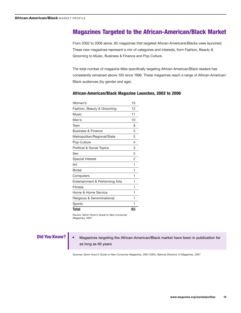## **Magazines Targeted to the African-American/Black Market**

From 2002 to 2006 alone, 85 magazines that targeted African-Americans/Blacks were launched. These new magazines represent a mix of categories and interests, from Fashion, Beauty & Grooming to Music, Business & Finance and Pop Culture.

The total number of magazine titles specifically targeting African-American/Black readers has consistently remained above 100 since 1996. These magazines reach a range of African-American/ Black audiences (by gender and age).

#### **African-American/Black Magazine Launches, 2002 to 2006**

| Women's                              | 15 |
|--------------------------------------|----|
| Fashion, Beauty & Grooming           | 12 |
| Music                                | 11 |
| Men's                                | 10 |
| Teen                                 | 8  |
| <b>Business &amp; Finance</b>        | 5  |
| Metropolitan/Regional/State          | 5  |
| Pop Culture                          | 4  |
| <b>Political &amp; Social Topics</b> | 3  |
| Sex                                  | 2  |
| <b>Special Interest</b>              | 2  |
| Art                                  | 1  |
| <b>Bridal</b>                        | 1  |
| Computers                            | 1  |
| Entertainment & Performing Arts      | 1  |
| <b>Fitness</b>                       | 1  |
| Home & Home Service                  | 1  |
| Religious & Denominational           | 1  |
| Sports                               | 1  |
| Total                                | 85 |

Source: *Samir Husni's Guide to New Consumer Magazines,* 2007

## **Did You Know? •** Magazines targeting the African-American/Black market have been in publication for as long as 60 years

Sources: *Samir Husni's Guide to New Consumer Magazines,* 2007-2003; *National Directory of Magazines*, 2007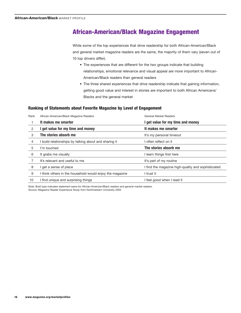## **African-American/Black Magazine Engagement**

While some of the top experiences that drive readership for both African-American/Black and general market magazine readers are the same, the majority of them vary (seven out of 10 top drivers differ).

- The experiences that are different for the two groups indicate that building relationships, emotional relevance and visual appeal are more important to African-American/Black readers than general readers
- The three shared experiences that drive readership indicate that gaining information, getting good value and interest in stories are important to both African Americans/ Blacks and the general market

#### **Ranking of Statements about Favorite Magazine by Level of Engagement**

| Rank | African-American/Black Magazine Readers                  | <b>General Market Readers</b>                      |  |
|------|----------------------------------------------------------|----------------------------------------------------|--|
|      | It makes me smarter<br>get value for my time and money   |                                                    |  |
| 2    | get value for my time and money                          | It makes me smarter                                |  |
| 3    | The stories absorb me                                    | It's my personal timeout                           |  |
| 4    | I build relationships by talking about and sharing it    | often reflect on it                                |  |
| 5    | I'm touched                                              | The stories absorb me                              |  |
| 6    | It grabs me visually                                     | learn things first here                            |  |
|      | It's relevant and useful to me                           | It's part of my routine                            |  |
| 8    | I get a sense of place                                   | I find the magazine high-quality and sophisticated |  |
| 9    | I think others in the household would enjoy the magazine | trust it                                           |  |
| 10   | I find unique and surprising things                      | feel good when I read it                           |  |

Note: Bold type indicates statement same for African-American/Black readers and general market readers. Source: Magazine Reader Experience Study from Northwestern University 2003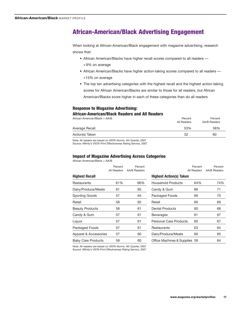## **African-American/Black Advertising Engagement**

When looking at African-American/Black engagement with magazine advertising, research shows that:

- African American/Blacks have higher recall scores compared to all readers +9% on average
- African American/Blacks have higher action-taking scores compared to all readers +15% on average
- The top ten advertising categories with the highest recall and the highest action-taking scores for African American/Blacks are similar to those for all readers, but African American/Blacks score higher in each of these categories than do all readers

#### **Response to Magazine Advertising:**

#### **African-American/Black Readers and All Readers**

| African-American/Black = AA/B | Percent<br>All Readers | Percent<br>AA/B Readers |
|-------------------------------|------------------------|-------------------------|
| Average Recall                | 53%                    | 58%                     |
| Action(s) Taken               | 52                     | 60                      |
|                               |                        |                         |

Note: All readers are based on VISTA Norms, 4th Quarter, 2007 Source: Affinity's VISTA Print Effectiveness Rating Service, 2007

#### **Impact of Magazine Advertising Across Categories**

African-American/Black = AA/B

|                           | Percent<br>All Readers | Percent<br><b>AA/B Readers</b> |            |
|---------------------------|------------------------|--------------------------------|------------|
| <b>Highest Recall</b>     |                        |                                | <b>Hig</b> |
| Restaurants               | 61%                    | 66%                            | Ho         |
| Dairy/Produce/Meats       | 61                     | 65                             | Car        |
| <b>Sporting Goods</b>     | 57                     | 64                             | Pao        |
| Retail                    | 58                     | 62                             | Ret        |
| <b>Beauty Products</b>    | 58                     | 61                             | Der        |
| Candy & Gum               | 57                     | 61                             | Be۱        |
| Liquor                    | 57                     | 61                             | Per        |
| Packaged Foods            | 57                     | 61                             | Res        |
| Apparel & Accessories     | 57                     | 60                             | Dai        |
| <b>Baby Care Products</b> | 58                     | 60                             | Offi       |

|                                | Percent<br>All Readers | Percent<br><b>AA/B Readers</b> |
|--------------------------------|------------------------|--------------------------------|
| <b>Highest Action(s) Taken</b> |                        |                                |
| <b>Household Products</b>      | 64%                    | 74%                            |
| Candy & Gum                    | 66                     | 71                             |
| Packaged Foods                 | 66                     | 70                             |
| Retail                         | 60                     | 69                             |
| Dental Products                | 60                     | 68                             |
| <b>Beverages</b>               | 61                     | 67                             |
| Personal Care Products         | 60                     | 67                             |
| Restaurants                    | 63                     | 64                             |
| Dairy/Produce/Meats            | 60                     | 65                             |
| Office Machines & Supplies 59  |                        | 64                             |

Note: All readers are based on VISTA Norms, 4th Quarter, 2007 Source: Affinity's VISTA Print Effectiveness Rating Service, 2007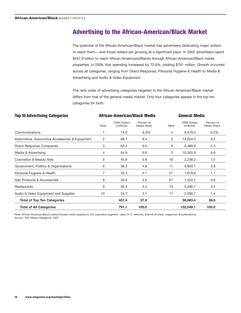## **Advertising to the African-American/Black Market**

The potential of the African-American/Black market has advertisers dedicating major dollars to reach them—and those dollars are growing at a significant pace. In 2002 advertisers spent \$457.9 billion to reach African Americans/Blacks through African-American/Black media properties. In 2006, that spending increased by 72.8%, totaling \$791 million. Growth occurred across all categories, ranging from Direct Response, Personal Hygiene & Health to Media & Advertising and Audio & Video Equipment.

The rank order of advertising categories targeted to the African-American/Black market differs from that of the general media market. Only four categories appear in the top ten categories for both.

| <b>Top 10 Advertising Categories</b>           | African-American/Black Media |                            |                           | <b>General Media</b> |                            |                           |
|------------------------------------------------|------------------------------|----------------------------|---------------------------|----------------------|----------------------------|---------------------------|
|                                                | Rank                         | 2006 Dollars<br>(millions) | Percent of<br>Media Share | Rank                 | 2006 Dollars<br>(millions) | Percent of<br>Media Share |
| Communications                                 | 1                            | 74.0                       | 9.3%                      | 4                    | 9,478.4                    | 6.2%                      |
| Automotive, Automotive Accessories & Equipment | 2                            | 66.7                       | 8.4                       | 2                    | 14,054.4                   | 9.2                       |
| Direct Response Companies                      | 3                            | 63.3                       | 8.0                       | 9                    | 6,489.6                    | 4.3                       |
| Media & Advertising                            | 4                            | 54.9                       | 6.9                       | 3                    | 10,305.9                   | 6.8                       |
| Cosmetics & Beauty Aids                        | 5                            | 45.9                       | 5.8                       | 16                   | 2,236.2                    | 1.5                       |
| Government, Politics & Organizations           | 6                            | 38.3                       | 4.8                       | 11                   | 5,803.1                    | 3.8                       |
| Personal Hygiene & Health                      | 7                            | 32.4                       | 4.1                       | 21                   | 1,679.6                    | 1.1                       |
| Hair Products & Accessories                    | 8                            | 30.8                       | 3.9                       | 27                   | 1,242.7                    | 0.8                       |
| Restaurants                                    | 9                            | 26.4                       | 3.3                       | 13                   | 5,296.7                    | 3.5                       |
| Audio & Video Equipment and Supplies           | 10                           | 24.7                       | 3.1                       | 17                   | 2,096.7                    | 1.4                       |
| <b>Total of Top Ten Categories</b>             |                              | 457.4                      | 57.8                      |                      | 58,683.4                   | 38.6                      |
| <b>Total of All Categories</b>                 |                              | 791.1                      | 100.0                     |                      | 152,049.1                  | 100.0                     |

Note: African-American/Black media includes media targeted to this population segment: cable TV (1 network), Internet (9 sites), magazines (6 publications). Source: TNS Media Intelligence, 2007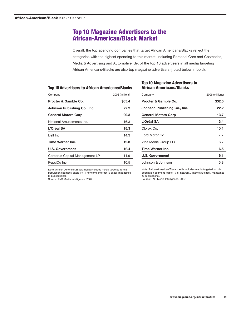## **Top 10 Magazine Advertisers to the African-American/Black Market**

Overall, the top spending companies that target African Americans/Blacks reflect the categories with the highest spending to this market, including Personal Care and Cosmetics, Media & Advertising and Automotive. Six of the top 10 advertisers in all media targeting African Americans/Blacks are also top magazine advertisers (noted below in bold).

#### **Top 10 Advertisers to African Americans/Blacks**

| Company                        | 2006 (millions) |  |  |
|--------------------------------|-----------------|--|--|
| Procter & Gamble Co.           | \$65.4          |  |  |
| Johnson Publishing Co., Inc.   | 22.2            |  |  |
| <b>General Motors Corp</b>     | 20.3            |  |  |
| National Amusements Inc.       | 16.3            |  |  |
| L'Oréal SA                     | 15.3            |  |  |
| Dell Inc.                      | 14.3            |  |  |
| Time Warner Inc.               | 12.8            |  |  |
| <b>U.S. Government</b>         | 12.4            |  |  |
| Cerberus Capital Management LP | 11.9            |  |  |
| PepsiCo Inc.                   | 10.5            |  |  |
|                                |                 |  |  |

## **Top 10 Magazine Advertisers to African Americans/Blacks**

| Company                      | 2006 (millions) |  |  |
|------------------------------|-----------------|--|--|
| Procter & Gamble Co.         | \$32.0          |  |  |
| Johnson Publishing Co., Inc. | 22.2            |  |  |
| <b>General Motors Corp</b>   | 13.7            |  |  |
| L'Oréal SA                   | 13.4            |  |  |
| Clorox Co.                   | 10.1            |  |  |
| Ford Motor Co.               | 7.7             |  |  |
| Vibe Media Group LLC         | 6.7             |  |  |
| Time Warner Inc.             | 6.5             |  |  |
| <b>U.S. Government</b>       | 6.1             |  |  |
| Johnson & Johnson            | 5.8             |  |  |

Note: African-American/Black media includes media targeted to this population segment: cable TV (1 network), Internet (9 sites), magazines (6 publications).

Source: TNS Media Intelligence, 2007

Note: African-American/Black media includes media targeted to this population segment: cable TV (1 network), Internet (9 sites), magazines (6 publications).

Source: TNS Media Intelligence, 2007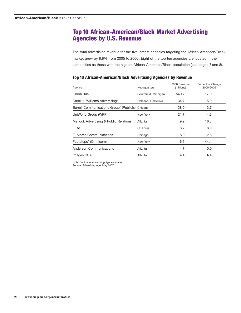## **Top 10 African-American/Black Market Advertising Agencies by U.S. Revenue**

The total advertising revenue for the five largest agencies targeting the African-American/Black market grew by 8.8% from 2005 to 2006. Eight of the top ten agencies are located in the same cities as those with the highest African-American/Black population (see pages 7 and 8).

### **Top 10 African-American/Black Advertising Agencies by Revenue**

| Agency                                           | Headquarters         | 2006 Revenue<br>(millions) | Percent of Change<br>2005-2006 |
|--------------------------------------------------|----------------------|----------------------------|--------------------------------|
| GlobalHue                                        | Southfield, Michigan | \$40.7                     | 17.0                           |
| Carol H. Williams Advertising*                   | Oakland, California  | 34.7                       | 5.0                            |
| Burrell Communications Group* (Publicis) Chicago |                      | 28.0                       | 3.7                            |
| UniWorld Group (WPP)                             | New York             | 21.7                       | 4.3                            |
| Matlock Advertising & Public Relations           | Atlanta              | 9.9                        | 16.3                           |
| Fuse                                             | St. Louis            | 8.7                        | 8.0                            |
| E. Morris Communications                         | Chicago              | 8.0                        | $-2.6$                         |
| Footsteps* (Omnicom)                             | New York             | 6.5                        | 44.4                           |
| Anderson Communications                          | Atlanta              | 4.7                        | 0.0                            |
| Images USA                                       | Atlanta              | 4.4                        | NA.                            |

Note: \*Indicates *Advertising Age* estimates

Source: *Advertising Age,* May 2007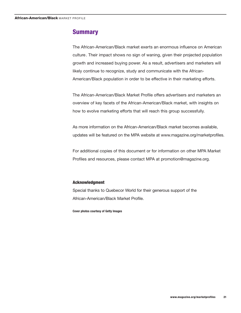## **Summary**

The African-American/Black market exerts an enormous influence on American culture. Their impact shows no sign of waning, given their projected population growth and increased buying power. As a result, advertisers and marketers will likely continue to recognize, study and communicate with the African-American/Black population in order to be effective in their marketing efforts.

The African-American/Black Market Profile offers advertisers and marketers an overview of key facets of the African-American/Black market, with insights on how to evolve marketing efforts that will reach this group successfully.

As more information on the African-American/Black market becomes available, updates will be featured on the MPA website at www.magazine.org/marketprofiles.

For additional copies of this document or for information on other MPA Market Profiles and resources, please contact MPA at promotion@magazine.org.

### **Acknowledgment**

Special thanks to Quebecor World for their generous support of the African-American/Black Market Profile.

**Cover photos courtesy of Getty Images**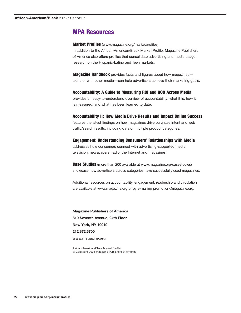## **MPA Resources**

**Market Profiles** (www.magazine.org/marketprofiles) In addition to the African-American/Black Market Profile, Magazine Publishers of America also offers profiles that consolidate advertising and media usage research on the Hispanic/Latino and Teen markets.

**Magazine Handbook** provides facts and figures about how magazines alone or with other media—can help advertisers achieve their marketing goals.

#### **Accountability: A Guide to Measuring ROI and ROO Across Media**

provides an easy-to-understand overview of accountability: what it is, how it is measured, and what has been learned to date.

#### **Accountability II: How Media Drive Results and Impact Online Success**

features the latest findings on how magazines drive purchase intent and web traffic/search results, including data on multiple product categories.

**Engagement: Understanding Consumers' Relationships with Media** addresses how consumers connect with advertising-supported media: television, newspapers, radio, the Internet and magazines.

**Case Studies** (more than 200 available at www.magazine.org/casestudies) showcase how advertisers across categories have successfully used magazines.

Additional resources on accountability, engagement, readership and circulation are available at www.magazine.org or by e-mailing promotion@magazine.org.

**Magazine Publishers of America 810 Seventh Avenue, 24th Floor New York, NY 10019 212.872.3700 www.magazine.org**

African-American/Black Market Profile © Copyright 2008 Magazine Publishers of America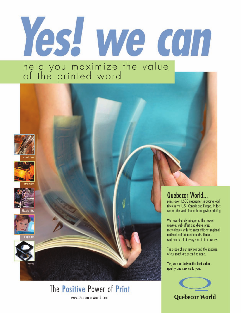# Yes! we con help you maximize the value<br>of the printed word















# The Positive Power of Print www.QuebecorWorld.com

## Quebecor World...

prints over 1,500 magazines, including lead titles in the U.S., Canada and Europe. In fact, we are the world leader in magazine printing.

We have digitally integrated the newest gravure, web offset and digital press technologies with the most efficient regional, national and international distribution. And, we excel at every step in the process.

The scope of our services and the expanse of our reach are second to none.

Yes, we can deliver the best value, quality and service to you.